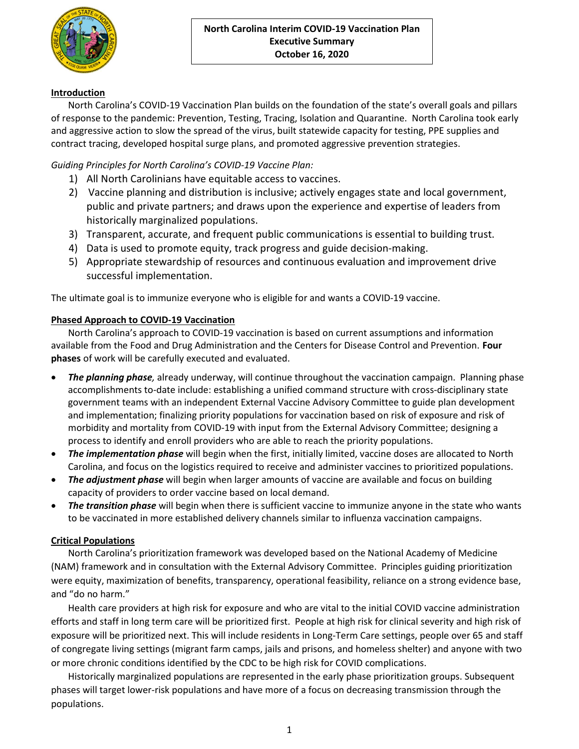

# Introduction

North Carolina's COVID-19 Vaccination Plan builds on the foundation of the state's overall goals and pillars of response to the pandemic: Prevention, Testing, Tracing, Isolation and Quarantine. North Carolina took early and aggressive action to slow the spread of the virus, built statewide capacity for testing, PPE supplies and contract tracing, developed hospital surge plans, and promoted aggressive prevention strategies.

# Guiding Principles for North Carolina's COVID-19 Vaccine Plan:

- 1) All North Carolinians have equitable access to vaccines.
- 2) Vaccine planning and distribution is inclusive; actively engages state and local government, public and private partners; and draws upon the experience and expertise of leaders from historically marginalized populations.
- 3) Transparent, accurate, and frequent public communications is essential to building trust.
- 4) Data is used to promote equity, track progress and guide decision-making.
- 5) Appropriate stewardship of resources and continuous evaluation and improvement drive successful implementation.

The ultimate goal is to immunize everyone who is eligible for and wants a COVID-19 vaccine.

#### Phased Approach to COVID-19 Vaccination

North Carolina's approach to COVID-19 vaccination is based on current assumptions and information available from the Food and Drug Administration and the Centers for Disease Control and Prevention. Four phases of work will be carefully executed and evaluated.

- **The planning phase**, already underway, will continue throughout the vaccination campaign. Planning phase accomplishments to-date include: establishing a unified command structure with cross-disciplinary state government teams with an independent External Vaccine Advisory Committee to guide plan development and implementation; finalizing priority populations for vaccination based on risk of exposure and risk of morbidity and mortality from COVID-19 with input from the External Advisory Committee; designing a process to identify and enroll providers who are able to reach the priority populations.
- The implementation phase will begin when the first, initially limited, vaccine doses are allocated to North Carolina, and focus on the logistics required to receive and administer vaccines to prioritized populations.
- The adjustment phase will begin when larger amounts of vaccine are available and focus on building capacity of providers to order vaccine based on local demand.
- The transition phase will begin when there is sufficient vaccine to immunize anyone in the state who wants to be vaccinated in more established delivery channels similar to influenza vaccination campaigns.

### Critical Populations

North Carolina's prioritization framework was developed based on the National Academy of Medicine (NAM) framework and in consultation with the External Advisory Committee. Principles guiding prioritization were equity, maximization of benefits, transparency, operational feasibility, reliance on a strong evidence base, and "do no harm."

Health care providers at high risk for exposure and who are vital to the initial COVID vaccine administration efforts and staff in long term care will be prioritized first. People at high risk for clinical severity and high risk of exposure will be prioritized next. This will include residents in Long-Term Care settings, people over 65 and staff of congregate living settings (migrant farm camps, jails and prisons, and homeless shelter) and anyone with two or more chronic conditions identified by the CDC to be high risk for COVID complications.

Historically marginalized populations are represented in the early phase prioritization groups. Subsequent phases will target lower-risk populations and have more of a focus on decreasing transmission through the populations.